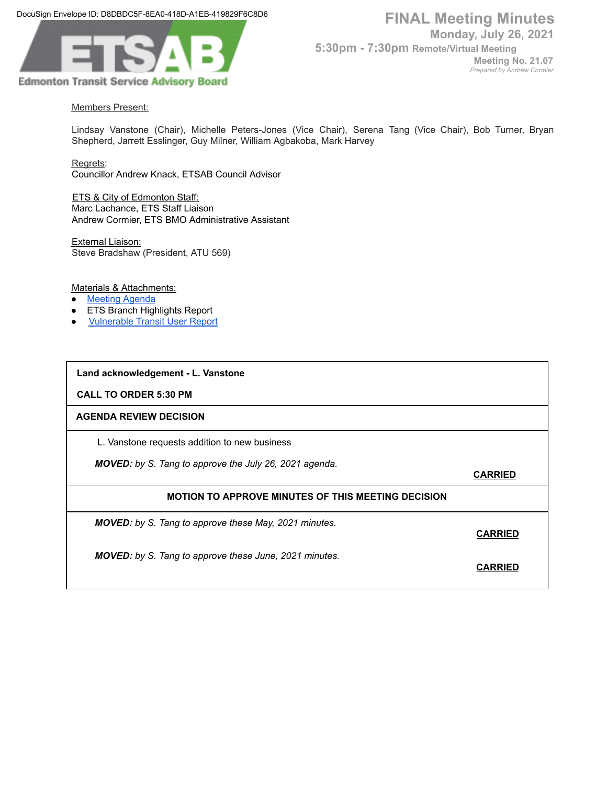DocuSign Envelope ID: D8DBDC5F-8EA0-418D-A1EB-419829F6C8D6



*Prepared by Andrew Cormier*

## Members Present:

Lindsay Vanstone (Chair), Michelle Peters-Jones (Vice Chair), Serena Tang (Vice Chair), Bob Turner, Bryan Shepherd, Jarrett Esslinger, Guy Milner, William Agbakoba, Mark Harvey

Regrets:

Councillor Andrew Knack, ETSAB Council Advisor

**ETS & City of Edmonton Staff:** Marc Lachance, ETS Staff Liaison Andrew Cormier, ETS BMO Administrative Assistant

External Liaison: Steve Bradshaw (President, ATU 569)

Materials & Attachments:

- [Meeting](https://docs.google.com/document/d/1nBb2YRD2be7xITOFsWRbbYnJK0NgaG_4TUD5YkLyvrk/edit) Agenda
- **ETS Branch Highlights Report**
- **[Vulnerable](https://drive.google.com/file/d/17X654erRLpMg6gCXtirUDuzIPCCgAx8v/view?usp=sharing) Transit User Report**

**Land acknowledgement - L. Vanstone**

**CALL TO ORDER 5:30 PM**

### **AGENDA REVIEW DECISION**

L. Vanstone requests addition to new business

*MOVED: by S. Tang to approve the July 26, 2021 agenda.*

**CARRIED**

### **MOTION TO APPROVE MINUTES OF THIS MEETING DECISION**

*MOVED: by S. Tang to approve these May, 2021 minutes.*

**CARRIED**

*MOVED: by S. Tang to approve these June, 2021 minutes.*

**CARRIED**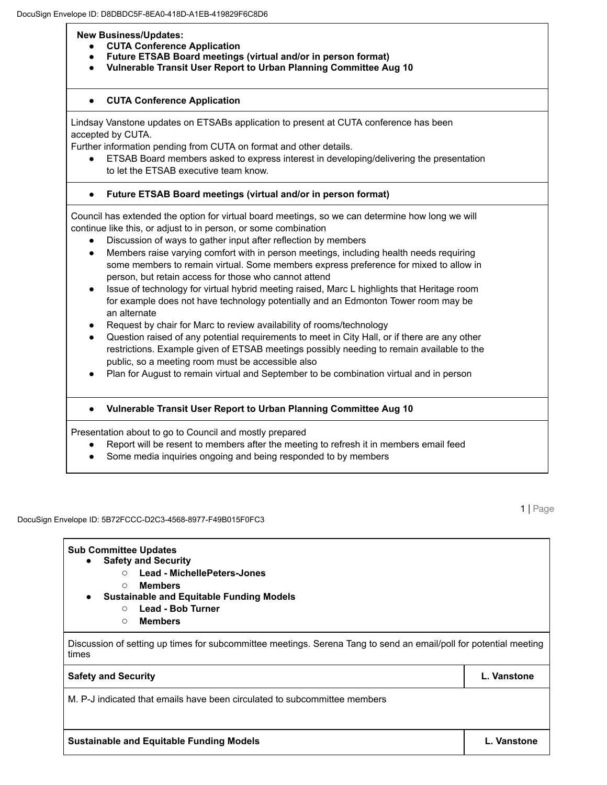**New Business/Updates:**

- **● CUTA Conference Application**
- **● Future ETSAB Board meetings (virtual and/or in person format)**
- **● Vulnerable Transit User Report to Urban Planning Committee Aug 10**

### **● CUTA Conference Application**

Lindsay Vanstone updates on ETSABs application to present at CUTA conference has been accepted by CUTA.

Further information pending from CUTA on format and other details.

ETSAB Board members asked to express interest in developing/delivering the presentation to let the ETSAB executive team know.

# **● Future ETSAB Board meetings (virtual and/or in person format)**

Council has extended the option for virtual board meetings, so we can determine how long we will continue like this, or adjust to in person, or some combination

- Discussion of ways to gather input after reflection by members
- Members raise varying comfort with in person meetings, including health needs requiring some members to remain virtual. Some members express preference for mixed to allow in person, but retain access for those who cannot attend
- Issue of technology for virtual hybrid meeting raised, Marc L highlights that Heritage room for example does not have technology potentially and an Edmonton Tower room may be an alternate
- Request by chair for Marc to review availability of rooms/technology
- Question raised of any potential requirements to meet in City Hall, or if there are any other restrictions. Example given of ETSAB meetings possibly needing to remain available to the public, so a meeting room must be accessible also
- Plan for August to remain virtual and September to be combination virtual and in person

### **● Vulnerable Transit User Report to Urban Planning Committee Aug 10**

Presentation about to go to Council and mostly prepared

- Report will be resent to members after the meeting to refresh it in members email feed
- Some media inquiries ongoing and being responded to by members

#### DocuSign Envelope ID: 5B72FCCC-D2C3-4568-8977-F49B015F0FC3

1 | Page

| <b>Sub Committee Updates</b>                                                                                               |             |
|----------------------------------------------------------------------------------------------------------------------------|-------------|
| <b>Safety and Security</b><br>$\bullet$                                                                                    |             |
| <b>Lead - MichellePeters-Jones</b><br>$\circ$                                                                              |             |
| Members<br>$\bigcap$<br><b>Sustainable and Equitable Funding Models</b><br>$\bullet$<br>Lead - Bob Turner<br>$\circ$       |             |
| <b>Members</b><br>$\circ$                                                                                                  |             |
| Discussion of setting up times for subcommittee meetings. Serena Tang to send an email/poll for potential meeting<br>times |             |
| <b>Safety and Security</b>                                                                                                 | L. Vanstone |
| M. P-J indicated that emails have been circulated to subcommittee members                                                  |             |
|                                                                                                                            |             |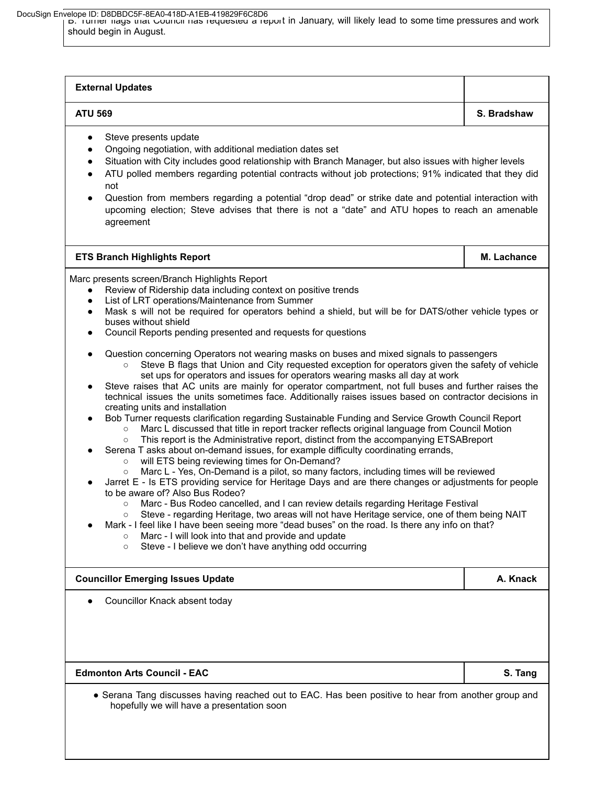B. Turner flags that Council has requested a report in January, will likely lead to some time pressures and work DocuSign Envelope ID: D8DBDC5F-8EA0-418D-A1EB-419829F6C8D6

should begin in August.

| Steve presents update<br>Ongoing negotiation, with additional mediation dates set<br>$\bullet$<br>Situation with City includes good relationship with Branch Manager, but also issues with higher levels<br>$\bullet$<br>ATU polled members regarding potential contracts without job protections; 91% indicated that they did<br>$\bullet$<br>not<br>Question from members regarding a potential "drop dead" or strike date and potential interaction with<br>$\bullet$<br>upcoming election; Steve advises that there is not a "date" and ATU hopes to reach an amenable<br>agreement<br><b>ETS Branch Highlights Report</b><br>Marc presents screen/Branch Highlights Report<br>Review of Ridership data including context on positive trends<br>List of LRT operations/Maintenance from Summer<br>$\bullet$<br>$\bullet$<br>buses without shield<br>Council Reports pending presented and requests for questions<br>$\bullet$<br>Question concerning Operators not wearing masks on buses and mixed signals to passengers<br>$\circ$<br>set ups for operators and issues for operators wearing masks all day at work<br>$\bullet$<br>creating units and installation<br>Bob Turner requests clarification regarding Sustainable Funding and Service Growth Council Report<br>$\bullet$<br>Marc L discussed that title in report tracker reflects original language from Council Motion<br>$\circ$<br>This report is the Administrative report, distinct from the accompanying ETSABreport<br>$\circ$<br>Serena T asks about on-demand issues, for example difficulty coordinating errands,<br>will ETS being reviewing times for On-Demand?<br>$\circ$<br>Marc L - Yes, On-Demand is a pilot, so many factors, including times will be reviewed<br>$\bullet$<br>to be aware of? Also Bus Rodeo?<br>Marc - Bus Rodeo cancelled, and I can review details regarding Heritage Festival<br>$\circ$<br>Mark - I feel like I have been seeing more "dead buses" on the road. Is there any info on that?<br>Marc - I will look into that and provide and update<br>Steve - I believe we don't have anything odd occurring<br>$\circ$<br><b>Councillor Emerging Issues Update</b><br>Councillor Knack absent today | <b>ATU 569</b>                                                                                                                                                                                                                                                                                                                                                                                                                                                                                                                                                                                                                        | S. Bradshaw |  |  |
|----------------------------------------------------------------------------------------------------------------------------------------------------------------------------------------------------------------------------------------------------------------------------------------------------------------------------------------------------------------------------------------------------------------------------------------------------------------------------------------------------------------------------------------------------------------------------------------------------------------------------------------------------------------------------------------------------------------------------------------------------------------------------------------------------------------------------------------------------------------------------------------------------------------------------------------------------------------------------------------------------------------------------------------------------------------------------------------------------------------------------------------------------------------------------------------------------------------------------------------------------------------------------------------------------------------------------------------------------------------------------------------------------------------------------------------------------------------------------------------------------------------------------------------------------------------------------------------------------------------------------------------------------------------------------------------------------------------------------------------------------------------------------------------------------------------------------------------------------------------------------------------------------------------------------------------------------------------------------------------------------------------------------------------------------------------------------------------------------------------------------------------------------------------------------------------------------------------|---------------------------------------------------------------------------------------------------------------------------------------------------------------------------------------------------------------------------------------------------------------------------------------------------------------------------------------------------------------------------------------------------------------------------------------------------------------------------------------------------------------------------------------------------------------------------------------------------------------------------------------|-------------|--|--|
|                                                                                                                                                                                                                                                                                                                                                                                                                                                                                                                                                                                                                                                                                                                                                                                                                                                                                                                                                                                                                                                                                                                                                                                                                                                                                                                                                                                                                                                                                                                                                                                                                                                                                                                                                                                                                                                                                                                                                                                                                                                                                                                                                                                                                |                                                                                                                                                                                                                                                                                                                                                                                                                                                                                                                                                                                                                                       |             |  |  |
|                                                                                                                                                                                                                                                                                                                                                                                                                                                                                                                                                                                                                                                                                                                                                                                                                                                                                                                                                                                                                                                                                                                                                                                                                                                                                                                                                                                                                                                                                                                                                                                                                                                                                                                                                                                                                                                                                                                                                                                                                                                                                                                                                                                                                |                                                                                                                                                                                                                                                                                                                                                                                                                                                                                                                                                                                                                                       | M. Lachance |  |  |
|                                                                                                                                                                                                                                                                                                                                                                                                                                                                                                                                                                                                                                                                                                                                                                                                                                                                                                                                                                                                                                                                                                                                                                                                                                                                                                                                                                                                                                                                                                                                                                                                                                                                                                                                                                                                                                                                                                                                                                                                                                                                                                                                                                                                                | Mask s will not be required for operators behind a shield, but will be for DATS/other vehicle types or<br>Steve B flags that Union and City requested exception for operators given the safety of vehicle<br>Steve raises that AC units are mainly for operator compartment, not full buses and further raises the<br>technical issues the units sometimes face. Additionally raises issues based on contractor decisions in<br>Jarret E - Is ETS providing service for Heritage Days and are there changes or adjustments for people<br>Steve - regarding Heritage, two areas will not have Heritage service, one of them being NAIT |             |  |  |
|                                                                                                                                                                                                                                                                                                                                                                                                                                                                                                                                                                                                                                                                                                                                                                                                                                                                                                                                                                                                                                                                                                                                                                                                                                                                                                                                                                                                                                                                                                                                                                                                                                                                                                                                                                                                                                                                                                                                                                                                                                                                                                                                                                                                                |                                                                                                                                                                                                                                                                                                                                                                                                                                                                                                                                                                                                                                       | A. Knack    |  |  |
|                                                                                                                                                                                                                                                                                                                                                                                                                                                                                                                                                                                                                                                                                                                                                                                                                                                                                                                                                                                                                                                                                                                                                                                                                                                                                                                                                                                                                                                                                                                                                                                                                                                                                                                                                                                                                                                                                                                                                                                                                                                                                                                                                                                                                |                                                                                                                                                                                                                                                                                                                                                                                                                                                                                                                                                                                                                                       |             |  |  |
| <b>Edmonton Arts Council - EAC</b>                                                                                                                                                                                                                                                                                                                                                                                                                                                                                                                                                                                                                                                                                                                                                                                                                                                                                                                                                                                                                                                                                                                                                                                                                                                                                                                                                                                                                                                                                                                                                                                                                                                                                                                                                                                                                                                                                                                                                                                                                                                                                                                                                                             |                                                                                                                                                                                                                                                                                                                                                                                                                                                                                                                                                                                                                                       | S. Tang     |  |  |